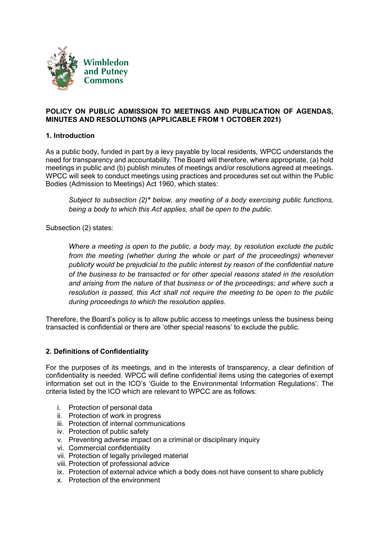

#### **POLICY ON PUBLIC ADMISSION TO MEETINGS AND PUBLICATION OF AGENDAS, MINUTES AND RESOLUTIONS (APPLICABLE FROM 1 OCTOBER 2021)**

#### **1. Introduction**

As a public body, funded in part by a levy payable by local residents, WPCC understands the need for transparency and accountability. The Board will therefore, where appropriate, (a) hold meetings in public and (b) publish minutes of meetings and/or resolutions agreed at meetings. WPCC will seek to conduct meetings using practices and procedures set out within the Public Bodies (Admission to Meetings) Act 1960, which states:

*Subject to subsection (2)\* below, any meeting of a body exercising public functions, being a body to which this Act applies, shall be open to the public.*

Subsection (2) states:

*Where a meeting is open to the public, a body may, by resolution exclude the public from the meeting (whether during the whole or part of the proceedings) whenever publicity would be prejudicial to the public interest by reason of the confidential nature of the business to be transacted or for other special reasons stated in the resolution and arising from the nature of that business or of the proceedings; and where such a resolution is passed, this Act shall not require the meeting to be open to the public during proceedings to which the resolution applies.*

Therefore, the Board's policy is to allow public access to meetings unless the business being transacted is confidential or there are 'other special reasons' to exclude the public.

#### **2. Definitions of Confidentiality**

For the purposes of its meetings, and in the interests of transparency, a clear definition of confidentiality is needed. WPCC will define confidential items using the categories of exempt information set out in the ICO's 'Guide to the Environmental Information Regulations'. The criteria listed by the ICO which are relevant to WPCC are as follows:

- i. Protection of personal data
- ii. Protection of work in progress
- iii. Protection of internal communications
- iv. Protection of public safety
- v. Preventing adverse impact on a criminal or disciplinary inquiry
- vi. Commercial confidentiality
- vii. Protection of legally privileged material
- viii. Protection of professional advice
- ix. Protection of external advice which a body does not have consent to share publicly
- x. Protection of the environment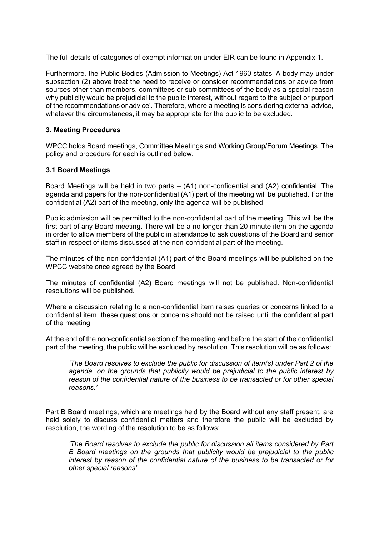The full details of categories of exempt information under EIR can be found in [Appendix](#page-5-0) 1.

Furthermore, the Public Bodies (Admission to Meetings) Act 1960 states 'A body may under subsection (2) above treat the need to receive or consider recommendations or advice from sources other than members, committees or sub-committees of the body as a special reason why publicity would be prejudicial to the public interest, without regard to the subject or purport of the recommendations or advice'. Therefore, where a meeting is considering external advice, whatever the circumstances, it may be appropriate for the public to be excluded.

#### **3. Meeting Procedures**

WPCC holds Board meetings, Committee Meetings and Working Group/Forum Meetings. The policy and procedure for each is outlined below.

#### **3.1 Board Meetings**

Board Meetings will be held in two parts  $-$  (A1) non-confidential and (A2) confidential. The agenda and papers for the non-confidential (A1) part of the meeting will be published. For the confidential (A2) part of the meeting, only the agenda will be published.

Public admission will be permitted to the non-confidential part of the meeting. This will be the first part of any Board meeting. There will be a no longer than 20 minute item on the agenda in order to allow members of the public in attendance to ask questions of the Board and senior staff in respect of items discussed at the non-confidential part of the meeting.

The minutes of the non-confidential (A1) part of the Board meetings will be published on the WPCC website once agreed by the Board.

The minutes of confidential (A2) Board meetings will not be published. Non-confidential resolutions will be published.

Where a discussion relating to a non-confidential item raises queries or concerns linked to a confidential item, these questions or concerns should not be raised until the confidential part of the meeting.

At the end of the non-confidential section of the meeting and before the start of the confidential part of the meeting, the public will be excluded by resolution. This resolution will be as follows:

*'The Board resolves to exclude the public for discussion of item(s) under Part 2 of the agenda, on the grounds that publicity would be prejudicial to the public interest by reason of the confidential nature of the business to be transacted or for other special reasons.'*

Part B Board meetings, which are meetings held by the Board without any staff present, are held solely to discuss confidential matters and therefore the public will be excluded by resolution, the wording of the resolution to be as follows:

*'The Board resolves to exclude the public for discussion all items considered by Part B Board meetings on the grounds that publicity would be prejudicial to the public interest by reason of the confidential nature of the business to be transacted or for other special reasons'*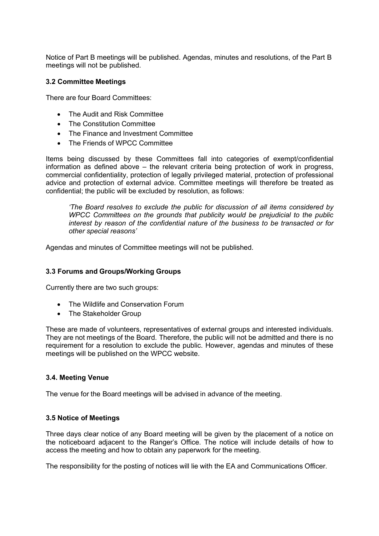Notice of Part B meetings will be published. Agendas, minutes and resolutions, of the Part B meetings will not be published.

#### **3.2 Committee Meetings**

There are four Board Committees:

- The Audit and Risk Committee
- The Constitution Committee
- The Finance and Investment Committee
- The Friends of WPCC Committee

Items being discussed by these Committees fall into categories of exempt/confidential information as defined above – the relevant criteria being protection of work in progress, commercial confidentiality, protection of legally privileged material, protection of professional advice and protection of external advice. Committee meetings will therefore be treated as confidential; the public will be excluded by resolution, as follows:

*'The Board resolves to exclude the public for discussion of all items considered by WPCC Committees on the grounds that publicity would be prejudicial to the public interest by reason of the confidential nature of the business to be transacted or for other special reasons'*

Agendas and minutes of Committee meetings will not be published.

#### **3.3 Forums and Groups/Working Groups**

Currently there are two such groups:

- The Wildlife and Conservation Forum
- The Stakeholder Group

These are made of volunteers, representatives of external groups and interested individuals. They are not meetings of the Board. Therefore, the public will not be admitted and there is no requirement for a resolution to exclude the public. However, agendas and minutes of these meetings will be published on the WPCC website.

#### **3.4. Meeting Venue**

The venue for the Board meetings will be advised in advance of the meeting.

#### **3.5 Notice of Meetings**

Three days clear notice of any Board meeting will be given by the placement of a notice on the noticeboard adjacent to the Ranger's Office. The notice will include details of how to access the meeting and how to obtain any paperwork for the meeting.

The responsibility for the posting of notices will lie with the EA and Communications Officer.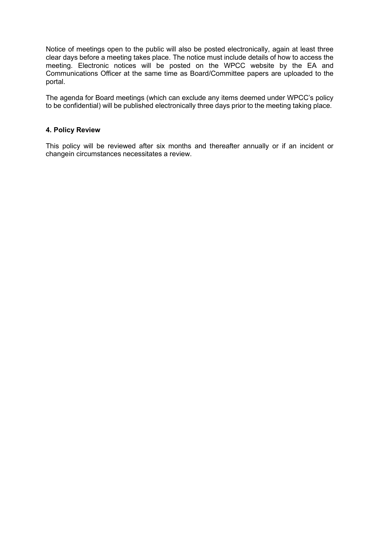Notice of meetings open to the public will also be posted electronically, again at least three clear days before a meeting takes place. The notice must include details of how to access the meeting. Electronic notices will be posted on the WPCC website by the EA and Communications Officer at the same time as Board/Committee papers are uploaded to the portal.

The agenda for Board meetings (which can exclude any items deemed under WPCC's policy to be confidential) will be published electronically three days prior to the meeting taking place.

#### **4. Policy Review**

This policy will be reviewed after six months and thereafter annually or if an incident or changein circumstances necessitates a review.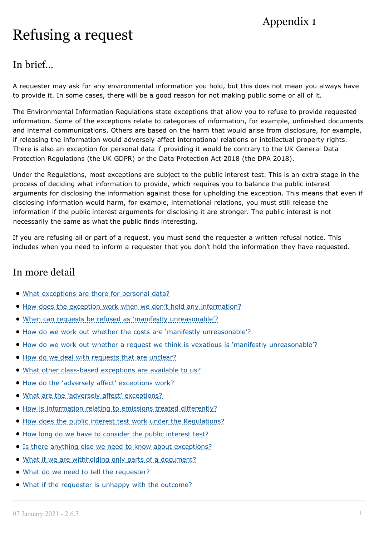# Appendix 1

# <span id="page-5-0"></span>Refusing a request

# In brief…

A requester may ask for any environmental information you hold, but this does not mean you always have to provide it. In some cases, there will be a good reason for not making public some or all of it.

The Environmental Information Regulations state exceptions that allow you to refuse to provide requested information. Some of the exceptions relate to categories of information, for example, unfinished documents and internal communications. Others are based on the harm that would arise from disclosure, for example, if releasing the information would adversely affect international relations or intellectual property rights. There is also an exception for personal data if providing it would be contrary to the UK General Data Protection Regulations (the UK GDPR) or the Data Protection Act 2018 (the DPA 2018).

Under the Regulations, most exceptions are subject to the public interest test. This is an extra stage in the process of deciding what information to provide, which requires you to balance the public interest arguments for disclosing the information against those for upholding the exception. This means that even if disclosing information would harm, for example, international relations, you must still release the information if the public interest arguments for disclosing it are stronger. The public interest is not necessarily the same as what the public finds interesting.

If you are refusing all or part of a request, you must send the requester a written refusal notice. This includes when you need to inform a requester that you don't hold the information they have requested.

# In more detail

- What exceptions are there for personal data?
- How does the exception work when we don't hold any information?
- When can requests be refused as 'manifestly unreasonable'?
- How do we work out whether the costs are 'manifestly unreasonable'?
- How do we work out whether a request we think is vexatious is 'manifestly unreasonable'?
- How do we deal with requests that are unclear?
- . What other class-based exceptions are available to us?
- $\bullet$  How do the 'adversely affect' exceptions work?
- . What are the 'adversely affect' exceptions?
- How is information relating to emissions treated differently?
- How does the public interest test work under the Regulations?
- How long do we have to consider the public interest test?
- **Is there anything else we need to know about exceptions?**
- What if we are withholding only parts of a document?
- . What do we need to tell the requester?
- What if the requester is unhappy with the outcome?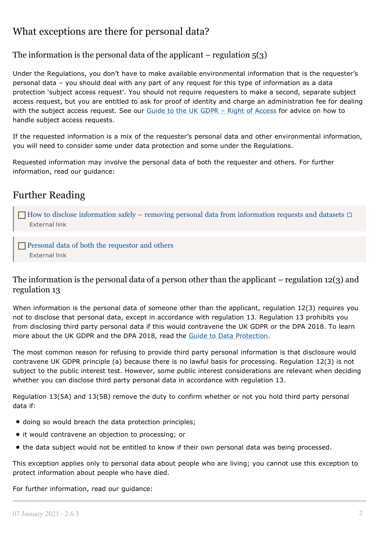# What exceptions are there for personal data?

## The information is the personal data of the applicant – regulation  $5(3)$

Under the Regulations, you don't have to make available environmental information that is the requester's personal data – you should deal with any part of any request for this type of information as a data protection 'subject access request'. You should not require requesters to make a second, separate subject access request, but you are entitled to ask for proof of identity and charge an administration fee for dealing with the subject access request. See our Guide to the UK GDPR – Right of [Access](https://ico.org.uk/for-organisations/guide-to-data-protection/guide-to-the-general-data-protection-regulation-gdpr/individual-rights/right-of-access/) for advice on how to handle subject access requests.

If the requested information is a mix of the requester's personal data and other environmental information, you will need to consider some under data protection and some under the Regulations.

Requested information may involve the personal data of both the requester and others. For further information, read our guidance:

# Further Reading

 $\Box$  How to disclose [information](https://ico.org.uk/media/for-organisations/documents/2021/2619016/how-to-disclose-information-safely-20201224.pdf) safely – removing personal data from information requests and datasets  $\Box$ [External](https://ico.org.uk/media/for-organisations/documents/2021/2619016/how-to-disclose-information-safely-20201224.pdf) link

Personal data of both the [requestor](https://ico.org.uk/media/2619029/s40-personal-data-of-both-the-requester-and-others-foi-eir-final-version-21.pdf) and [others](https://ico.org.uk/media/2619029/s40-personal-data-of-both-the-requester-and-others-foi-eir-final-version-21.pdf) [External](https://ico.org.uk/media/2619029/s40-personal-data-of-both-the-requester-and-others-foi-eir-final-version-21.pdf) link

#### The information is the personal data of a person other than the applicant – regulation 12(3) and regulation 13

When information is the personal data of someone other than the applicant, regulation 12(3) requires you not to disclose that personal data, except in accordance with regulation 13. Regulation 13 prohibits you from disclosing third party personal data if this would contravene the UK GDPR or the DPA 2018. To learn more about the UK GDPR and the DPA 2018, read the Guide to Data [Protection.](https://ico.org.uk/for-organisations/guide-to-the-environmental-information-regulations/refusing-a-request/?template=pdf&patch=3)

The most common reason for refusing to provide third party personal information is that disclosure would contravene UK GDPR principle (a) because there is no lawful basis for processing. Regulation 12(3) is not subject to the public interest test. However, some public interest considerations are relevant when deciding whether you can disclose third party personal data in accordance with regulation 13.

Regulation 13(5A) and 13(5B) remove the duty to confirm whether or not you hold third party personal data if:

- $\bullet$  doing so would breach the data protection principles;
- it would contravene an objection to processing; or
- the data subject would not be entitled to know if their own personal data was being processed.

This exception applies only to personal data about people who are living; you cannot use this exception to protect information about people who have died.

For further information, read our guidance: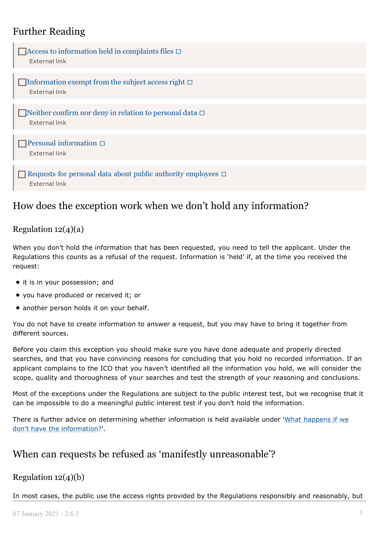# Further Reading



# How does the exception work when we don't hold any information?

## Regulation  $12(4)(a)$

When you don't hold the information that has been requested, you need to tell the applicant. Under the Regulations this counts as a refusal of the request. Information is 'held' if, at the time you received the request:

- it is in your possession; and
- you have produced or received it; or
- another person holds it on your behalf.

You do not have to create information to answer a request, but you may have to bring it together from different sources.

Before you claim this exception you should make sure you have done adequate and properly directed searches, and that you have convincing reasons for concluding that you hold no recorded information. If an applicant complains to the ICO that you haven't identified all the information you hold, we will consider the scope, quality and thoroughness of your searches and test the strength of your reasoning and conclusions.

Most of the exceptions under the Regulations are subject to the public interest test, but we recognise that it can be impossible to do a meaningful public interest test if you don't hold the information.

There is further advice on determining whether information is held available under 'What [happens](https://ico.org.uk/for-organisations/guide-to-the-environmental-information-regulations/receiving-a-request/) if we don't have the information?'.

# When can requests be refused as 'manifestly unreasonable'?

## Regulation  $12(4)(b)$

In most cases, the public use the access rights provided by the Regulations responsibly and reasonably, but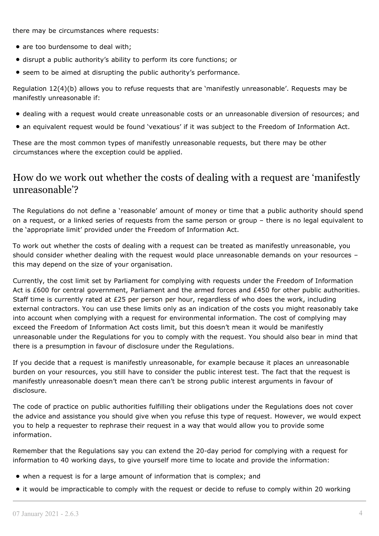there may be circumstances where requests:

- are too burdensome to deal with:
- disrupt a public authority's ability to perform its core functions; or
- **•** seem to be aimed at disrupting the public authority's performance.

Regulation 12(4)(b) allows you to refuse requests that are 'manifestly unreasonable'. Requests may be manifestly unreasonable if:

- dealing with a request would create unreasonable costs or an unreasonable diversion of resources; and
- an equivalent request would be found 'vexatious' if it was subject to the Freedom of Information Act.

These are the most common types of manifestly unreasonable requests, but there may be other circumstances where the exception could be applied.

# How do we work out whether the costs of dealing with a request are 'manifestly unreasonable'?

The Regulations do not define a 'reasonable' amount of money or time that a public authority should spend on a request, or a linked series of requests from the same person or group – there is no legal equivalent to the 'appropriate limit' provided under the Freedom of Information Act.

To work out whether the costs of dealing with a request can be treated as manifestly unreasonable, you should consider whether dealing with the request would place unreasonable demands on your resources – this may depend on the size of your organisation.

Currently, the cost limit set by Parliament for complying with requests under the Freedom of Information Act is £600 for central government, Parliament and the armed forces and £450 for other public authorities. Staff time is currently rated at £25 per person per hour, regardless of who does the work, including external contractors. You can use these limits only as an indication of the costs you might reasonably take into account when complying with a request for environmental information. The cost of complying may exceed the Freedom of Information Act costs limit, but this doesn't mean it would be manifestly unreasonable under the Regulations for you to comply with the request. You should also bear in mind that there is a presumption in favour of disclosure under the Regulations.

If you decide that a request is manifestly unreasonable, for example because it places an unreasonable burden on your resources, you still have to consider the public interest test. The fact that the request is manifestly unreasonable doesn't mean there can't be strong public interest arguments in favour of disclosure.

The code of practice on public authorities fulfilling their obligations under the Regulations does not cover the advice and assistance you should give when you refuse this type of request. However, we would expect you to help a requester to rephrase their request in a way that would allow you to provide some information.

Remember that the Regulations say you can extend the 20-day period for complying with a request for information to 40 working days, to give yourself more time to locate and provide the information:

- when a request is for a large amount of information that is complex; and
- it would be impracticable to comply with the request or decide to refuse to comply within 20 working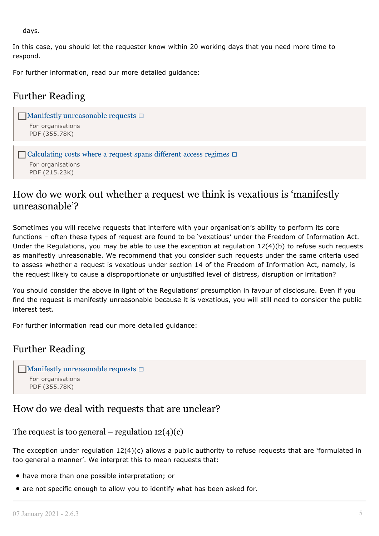days.

In this case, you should let the requester know within 20 working days that you need more time to respond.

For further information, read our more detailed guidance:

# Further Reading

```
\Boxunreasonable requests \BoxFor organisations
   PDF (355.78K)
```

```
\BoxCalculating costs where a request spans different access regimes \BoxFor organisations
   PDF (215.23K)
```
# How do we work out whether a request we think is vexatious is 'manifestly unreasonable'?

Sometimes you will receive requests that interfere with your organisation's ability to perform its core functions – often these types of request are found to be 'vexatious' under the Freedom of Information Act. Under the Regulations, you may be able to use the exception at regulation 12(4)(b) to refuse such requests as manifestly unreasonable. We recommend that you consider such requests under the same criteria used to assess whether a request is vexatious under section 14 of the Freedom of Information Act, namely, is the request likely to cause a disproportionate or unjustified level of distress, disruption or irritation?

You should consider the above in light of the Regulations' presumption in favour of disclosure. Even if you find the request is manifestly unreasonable because it is vexatious, you will still need to consider the public interest test.

For further information read our more detailed guidance:

## Further Reading

```
\Boxunreasonable requests \BoxFor organisations
   PDF (355.78K)
```
## How do we deal with requests that are unclear?

```
The request is too general – regulation 12(4)(c)
```
The exception under regulation 12(4)(c) allows a public authority to refuse requests that are 'formulated in too general a manner'. We interpret this to mean requests that:

- have more than one possible interpretation; or
- are not specific enough to allow you to identify what has been asked for.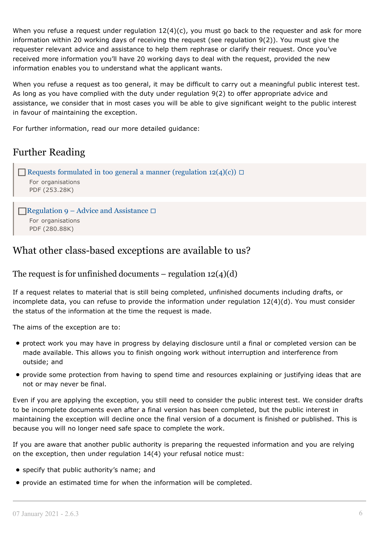When you refuse a request under regulation 12(4)(c), you must go back to the requester and ask for more information within 20 working days of receiving the request (see regulation 9(2)). You must give the requester relevant advice and assistance to help them rephrase or clarify their request. Once you've received more information you'll have 20 working days to deal with the request, provided the new information enables you to understand what the applicant wants.

When you refuse a request as too general, it may be difficult to carry out a meaningful public interest test. As long as you have complied with the duty under regulation 9(2) to offer appropriate advice and assistance, we consider that in most cases you will be able to give significant weight to the public interest in favour of maintaining the exception.

For further information, read our more detailed guidance:

# Further Reading

```
(regulation 12(4)(c)) \BoxFor organisations
  PDF (253.28K)
Regulation 9 – Advice and Assistance \square
```

```
For organisations
PDF (280.88K)
```
# What other class-based exceptions are available to us?

## The request is for unfinished documents – regulation  $12(4)(d)$

If a request relates to material that is still being completed, unfinished documents including drafts, or incomplete data, you can refuse to provide the information under regulation 12(4)(d). You must consider the status of the information at the time the request is made.

The aims of the exception are to:

- protect work you may have in progress by delaying disclosure until a final or completed version can be made available. This allows you to finish ongoing work without interruption and interference from outside; and
- provide some protection from having to spend time and resources explaining or justifying ideas that are not or may never be final.

Even if you are applying the exception, you still need to consider the public interest test. We consider drafts to be incomplete documents even after a final version has been completed, but the public interest in maintaining the exception will decline once the final version of a document is finished or published. This is because you will no longer need safe space to complete the work.

If you are aware that another public authority is preparing the requested information and you are relying on the exception, then under regulation 14(4) your refusal notice must:

- specify that public authority's name; and
- provide an estimated time for when the information will be completed.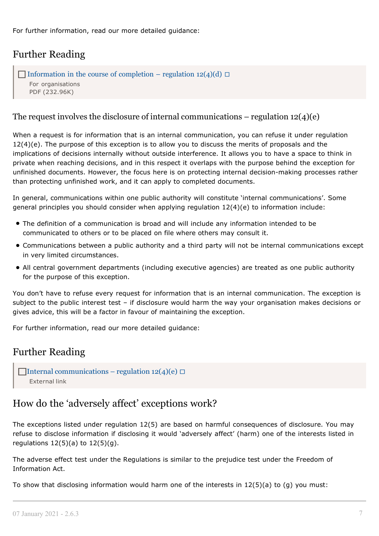For further information, read our more detailed guidance:

# Further Reading

```
Information in the course of completion – regulation 12(4)(d) \BoxFor organisations
   PDF (232.96K)
```
## The request involves the disclosure of internal communications – regulation  $12(4)(e)$

When a request is for information that is an internal communication, you can refuse it under regulation  $12(4)(e)$ . The purpose of this exception is to allow you to discuss the merits of proposals and the implications of decisions internally without outside interference. It allows you to have a space to think in private when reaching decisions, and in this respect it overlaps with the purpose behind the exception for unfinished documents. However, the focus here is on protecting internal decision-making processes rather than protecting unfinished work, and it can apply to completed documents.

In general, communications within one public authority will constitute 'internal communications'. Some general principles you should consider when applying regulation 12(4)(e) to information include:

- The definition of a communication is broad and will include any information intended to be communicated to others or to be placed on file where others may consult it.
- Communications between a public authority and a third party will not be internal communications except in very limited circumstances.
- All central government departments (including executive agencies) are treated as one public authority for the purpose of this exception.

You don't have to refuse every request for information that is an internal communication. The exception is subject to the public interest test – if disclosure would harm the way your organisation makes decisions or gives advice, this will be a factor in favour of maintaining the exception.

For further information, read our more detailed guidance:

## Further Reading

```
communications – regulation 12(4)(e)External link
```
# How do the 'adversely affect' exceptions work?

The exceptions listed under regulation 12(5) are based on harmful consequences of disclosure. You may refuse to disclose information if disclosing it would 'adversely affect' (harm) one of the interests listed in regulations  $12(5)(a)$  to  $12(5)(g)$ .

The adverse effect test under the Regulations is similar to the prejudice test under the Freedom of Information Act.

To show that disclosing information would harm one of the interests in 12(5)(a) to (g) you must: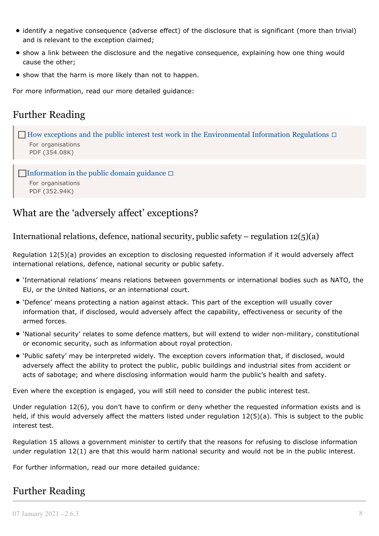- identify a negative consequence (adverse effect) of the disclosure that is significant (more than trivial) and is relevant to the exception claimed;
- show a link between the disclosure and the negative consequence, explaining how one thing would cause the other;
- show that the harm is more likely than not to happen.

For more information, read our more detailed guidance:

# Further Reading

```
\BoxEnvironmental Information Regulations \BoxFor organisations
  PDF (354.08K)
\BoxInformation in the public domain guidance \Box
```
For [organisations](https://ico.org.uk/media/for-organisations/documents/1204/information-in-the-public-domain-foi-eir-guidance.pdf) PDF [\(352.94K\)](https://ico.org.uk/media/for-organisations/documents/1204/information-in-the-public-domain-foi-eir-guidance.pdf)

# What are the 'adversely affect' exceptions?

International relations, defence, national security, public safety – regulation  $12(5)(a)$ 

Regulation 12(5)(a) provides an exception to disclosing requested information if it would adversely affect international relations, defence, national security or public safety.

- 'International relations' means relations between governments or international bodies such as NATO, the EU, or the United Nations, or an international court.
- 'Defence' means protecting a nation against attack. This part of the exception will usually cover information that, if disclosed, would adversely affect the capability, effectiveness or security of the armed forces.
- 'National security' relates to some defence matters, but will extend to wider non-military, constitutional or economic security, such as information about royal protection.
- 'Public safety' may be interpreted widely. The exception covers information that, if disclosed, would adversely affect the ability to protect the public, public buildings and industrial sites from accident or acts of sabotage; and where disclosing information would harm the public's health and safety.

Even where the exception is engaged, you will still need to consider the public interest test.

Under regulation 12(6), you don't have to confirm or deny whether the requested information exists and is held, if this would adversely affect the matters listed under regulation 12(5)(a). This is subject to the public interest test.

Regulation 15 allows a government minister to certify that the reasons for refusing to disclose information under regulation 12(1) are that this would harm national security and would not be in the public interest.

For further information, read our more detailed guidance:

# Further Reading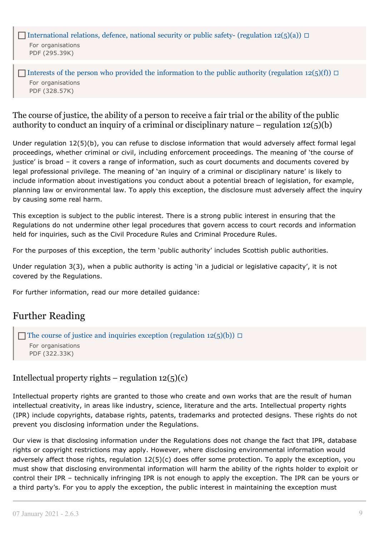[International](https://ico.org.uk/media/for-organisations/documents/1633/eir_international_relations_defence_national_security_public_safety.pdf) relations, defence, national security or public safety- (regulation 12(5)(a))  $\Box$ For [organisations](https://ico.org.uk/media/for-organisations/documents/1633/eir_international_relations_defence_national_security_public_safety.pdf) PDF [\(295.39K\)](https://ico.org.uk/media/for-organisations/documents/1633/eir_international_relations_defence_national_security_public_safety.pdf)

Interests of the person who provided the [information](https://ico.org.uk/media/for-organisations/documents/1638/eir_voluntary_supply_of_information_regulation.pdf) to the public authority (regulation 12(5)(f))  $\Box$ For [organisations](https://ico.org.uk/media/for-organisations/documents/1638/eir_voluntary_supply_of_information_regulation.pdf) PDF [\(328.57K\)](https://ico.org.uk/media/for-organisations/documents/1638/eir_voluntary_supply_of_information_regulation.pdf)

#### The course of justice, the ability of a person to receive a fair trial or the ability of the public authority to conduct an inquiry of a criminal or disciplinary nature – regulation  $12(5)(b)$

Under regulation 12(5)(b), you can refuse to disclose information that would adversely affect formal legal proceedings, whether criminal or civil, including enforcement proceedings. The meaning of 'the course of justice' is broad – it covers a range of information, such as court documents and documents covered by legal professional privilege. The meaning of 'an inquiry of a criminal or disciplinary nature' is likely to include information about investigations you conduct about a potential breach of legislation, for example, planning law or environmental law. To apply this exception, the disclosure must adversely affect the inquiry by causing some real harm.

This exception is subject to the public interest. There is a strong public interest in ensuring that the Regulations do not undermine other legal procedures that govern access to court records and information held for inquiries, such as the Civil Procedure Rules and Criminal Procedure Rules.

For the purposes of this exception, the term 'public authority' includes Scottish public authorities.

Under regulation 3(3), when a public authority is acting 'in a judicial or legislative capacity', it is not covered by the Regulations.

For further information, read our more detailed guidance:

# Further Reading

The course of justice and inquiries exception [\(regulation](https://ico.org.uk/media/for-organisations/documents/1625/course_of_justice_and_inquiries_exception_eir_guidance.pdf)  $12(5)(b)$ )  $\Box$ For [organisations](https://ico.org.uk/media/for-organisations/documents/1625/course_of_justice_and_inquiries_exception_eir_guidance.pdf) PDF [\(322.33K\)](https://ico.org.uk/media/for-organisations/documents/1625/course_of_justice_and_inquiries_exception_eir_guidance.pdf)

#### Intellectual property rights – regulation  $12(5)(c)$

Intellectual property rights are granted to those who create and own works that are the result of human intellectual creativity, in areas like industry, science, literature and the arts. Intellectual property rights (IPR) include copyrights, database rights, patents, trademarks and protected designs. These rights do not prevent you disclosing information under the Regulations.

Our view is that disclosing information under the Regulations does not change the fact that IPR, database rights or copyright restrictions may apply. However, where disclosing environmental information would adversely affect those rights, regulation 12(5)(c) does offer some protection. To apply the exception, you must show that disclosing environmental information will harm the ability of the rights holder to exploit or control their IPR – technically infringing IPR is not enough to apply the exception. The IPR can be yours or a third party's. For you to apply the exception, the public interest in maintaining the exception must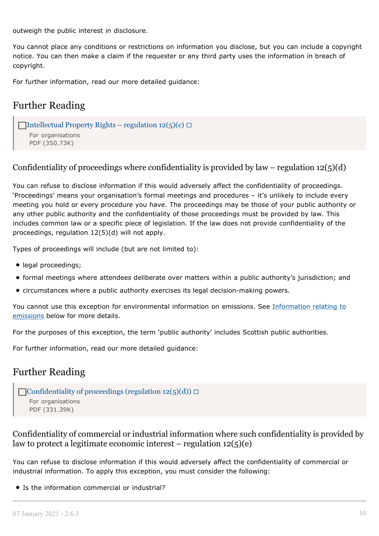outweigh the public interest in disclosure.

You cannot place any conditions or restrictions on information you disclose, but you can include a copyright notice. You can then make a claim if the requester or any third party uses the information in breach of copyright.

For further information, read our more detailed guidance:

# Further Reading

```
\BoxIntellectual Property Rights – regulation 12(5)(c) \BoxFor organisations
   PDF (350.73K)
```
Confidentiality of proceedings where confidentiality is provided by law – regulation  $12(5)(d)$ 

You can refuse to disclose information if this would adversely affect the confidentiality of proceedings. 'Proceedings' means your organisation's formal meetings and procedures – it's unlikely to include every meeting you hold or every procedure you have. The proceedings may be those of your public authority or any other public authority and the confidentiality of those proceedings must be provided by law. This includes common law or a specific piece of legislation. If the law does not provide confidentiality of the proceedings, regulation 12(5)(d) will not apply.

Types of proceedings will include (but are not limited to):

- legal proceedings;
- formal meetings where attendees deliberate over matters within a public authority's jurisdiction; and
- circumstances where a public authority exercises its legal decision-making powers.

You cannot use this exception for environmental information on emissions. See Information relating to emissions below for more details.

For the purposes of this exception, the term 'public authority' includes Scottish public authorities.

For further information, read our more detailed guidance:

## Further Reading



Confidentiality of commercial or industrial information where such confidentiality is provided by law to protect a legitimate economic interest – regulation  $12(5)(e)$ 

You can refuse to disclose information if this would adversely affect the confidentiality of commercial or industrial information. To apply this exception, you must consider the following:

• Is the information commercial or industrial?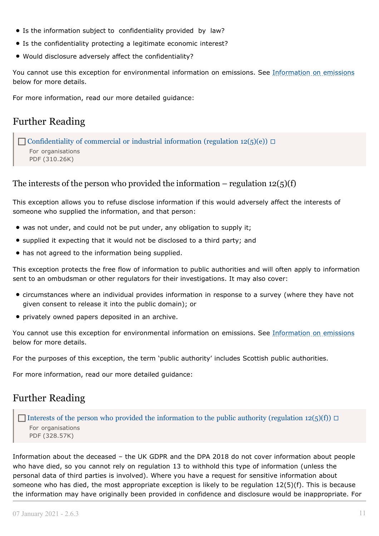- Is the information subject to confidentiality provided by law?
- **•** Is the confidentiality protecting a legitimate economic interest?
- Would disclosure adversely affect the confidentiality?

You cannot use this exception for environmental information on emissions. See Information on emissions below for more details.

For more information, read our more detailed guidance:

# Further Reading

[Confidentiality](https://ico.org.uk/media/for-organisations/documents/1624/eir_confidentiality_of_commercial_or_industrial_information.pdf) of commercial or industrial information (regulation 12(5)(e))  $\Box$ For [organisations](https://ico.org.uk/media/for-organisations/documents/1624/eir_confidentiality_of_commercial_or_industrial_information.pdf) PDF [\(310.26K\)](https://ico.org.uk/media/for-organisations/documents/1624/eir_confidentiality_of_commercial_or_industrial_information.pdf)

#### The interests of the person who provided the information – regulation  $12(5)(f)$

This exception allows you to refuse disclose information if this would adversely affect the interests of someone who supplied the information, and that person:

- was not under, and could not be put under, any obligation to supply it;
- supplied it expecting that it would not be disclosed to a third party; and
- has not agreed to the information being supplied.

This exception protects the free flow of information to public authorities and will often apply to information sent to an ombudsman or other regulators for their investigations. It may also cover:

- circumstances where an individual provides information in response to a survey (where they have not given consent to release it into the public domain); or
- privately owned papers deposited in an archive.

You cannot use this exception for environmental information on emissions. See Information on emissions below for more details.

For the purposes of this exception, the term 'public authority' includes Scottish public authorities.

For more information, read our more detailed guidance:

## Further Reading

Interests of the person who provided the [information](https://ico.org.uk/media/for-organisations/documents/1638/eir_voluntary_supply_of_information_regulation.pdf) to the public authority (regulation 12(5)(f))  $\Box$ For [organisations](https://ico.org.uk/media/for-organisations/documents/1638/eir_voluntary_supply_of_information_regulation.pdf) PDF [\(328.57K\)](https://ico.org.uk/media/for-organisations/documents/1638/eir_voluntary_supply_of_information_regulation.pdf)

Information about the deceased – the UK GDPR and the DPA 2018 do not cover information about people who have died, so you cannot rely on regulation 13 to withhold this type of information (unless the personal data of third parties is involved). Where you have a request for sensitive information about someone who has died, the most appropriate exception is likely to be regulation 12(5)(f). This is because the information may have originally been provided in confidence and disclosure would be inappropriate. For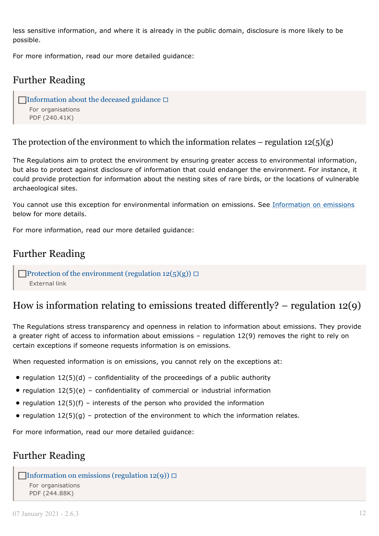less sensitive information, and where it is already in the public domain, disclosure is more likely to be possible.

For more information, read our more detailed guidance:

# Further Reading

```
\BoxInformation about the deceased guidance \BoxFor organisations
   PDF (240.41K)
```
The protection of the environment to which the information relates – regulation  $12(5)(g)$ 

The Regulations aim to protect the environment by ensuring greater access to environmental information, but also to protect against disclosure of information that could endanger the environment. For instance, it could provide protection for information about the nesting sites of rare birds, or the locations of vulnerable archaeological sites.

You cannot use this exception for environmental information on emissions. See Information on emissions below for more details.

For more information, read our more detailed guidance:

# Further Reading

**Protection of the [environment](https://ico.org.uk/media/for-organisations/documents/2021/2619008/12-5-g-protection-of-the-environment-31122020-version-12.pdf) (regulation 12(5)(g))**  $\Box$ [External](https://ico.org.uk/media/for-organisations/documents/2021/2619008/12-5-g-protection-of-the-environment-31122020-version-12.pdf) link

# How is information relating to emissions treated differently?  $-$  regulation 12(9)

The Regulations stress transparency and openness in relation to information about emissions. They provide a greater right of access to information about emissions – regulation 12(9) removes the right to rely on certain exceptions if someone requests information is on emissions.

When requested information is on emissions, you cannot rely on the exceptions at:

- regulation  $12(5)(d)$  confidentiality of the proceedings of a public authority
- regulation  $12(5)(e)$  confidentiality of commercial or industrial information
- regulation  $12(5)(f)$  interests of the person who provided the information
- regulation  $12(5)(g)$  protection of the environment to which the information relates.

For more information, read our more detailed guidance:

# Further Reading

```
\BoxInformation on emissions (regulation 12(9)) \BoxFor organisations
   PDF (244.88K)
```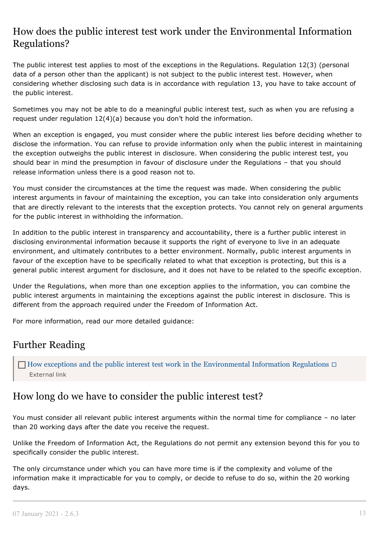# How does the public interest test work under the Environmental Information Regulations?

The public interest test applies to most of the exceptions in the Regulations. Regulation 12(3) (personal data of a person other than the applicant) is not subject to the public interest test. However, when considering whether disclosing such data is in accordance with regulation 13, you have to take account of the public interest.

Sometimes you may not be able to do a meaningful public interest test, such as when you are refusing a request under regulation 12(4)(a) because you don't hold the information.

When an exception is engaged, you must consider where the public interest lies before deciding whether to disclose the information. You can refuse to provide information only when the public interest in maintaining the exception outweighs the public interest in disclosure. When considering the public interest test, you should bear in mind the presumption in favour of disclosure under the Regulations – that you should release information unless there is a good reason not to.

You must consider the circumstances at the time the request was made. When considering the public interest arguments in favour of maintaining the exception, you can take into consideration only arguments that are directly relevant to the interests that the exception protects. You cannot rely on general arguments for the public interest in withholding the information.

In addition to the public interest in transparency and accountability, there is a further public interest in disclosing environmental information because it supports the right of everyone to live in an adequate environment, and ultimately contributes to a better environment. Normally, public interest arguments in favour of the exception have to be specifically related to what that exception is protecting, but this is a general public interest argument for disclosure, and it does not have to be related to the specific exception.

Under the Regulations, when more than one exception applies to the information, you can combine the public interest arguments in maintaining the exceptions against the public interest in disclosure. This is different from the approach required under the Freedom of Information Act.

For more information, read our more detailed guidance:

# Further Reading

 $\Box$  How exceptions and the public interest test work in the [Environmental](https://ico.org.uk/media/for-organisations/documents/2021/2619013/exceptions-pi-test-eir.pdf) Information Regulations  $\Box$ [External](https://ico.org.uk/media/for-organisations/documents/2021/2619013/exceptions-pi-test-eir.pdf) link

# How long do we have to consider the public interest test?

You must consider all relevant public interest arguments within the normal time for compliance – no later than 20 working days after the date you receive the request.

Unlike the Freedom of Information Act, the Regulations do not permit any extension beyond this for you to specifically consider the public interest.

The only circumstance under which you can have more time is if the complexity and volume of the information make it impracticable for you to comply, or decide to refuse to do so, within the 20 working days.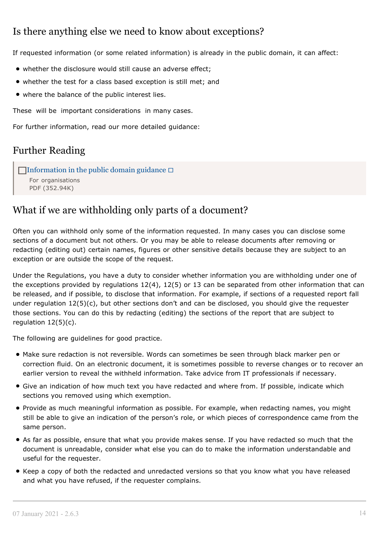# Is there anything else we need to know about exceptions?

If requested information (or some related information) is already in the public domain, it can affect:

- whether the disclosure would still cause an adverse effect;
- whether the test for a class based exception is still met; and
- where the balance of the public interest lies.

These will be important considerations in many cases.

For further information, read our more detailed guidance:

# Further Reading

```
\BoxInformation in the public domain guidance \BoxFor organisations
   PDF (352.94K)
```
# What if we are withholding only parts of a document?

Often you can withhold only some of the information requested. In many cases you can disclose some sections of a document but not others. Or you may be able to release documents after removing or redacting (editing out) certain names, figures or other sensitive details because they are subject to an exception or are outside the scope of the request.

Under the Regulations, you have a duty to consider whether information you are withholding under one of the exceptions provided by regulations 12(4), 12(5) or 13 can be separated from other information that can be released, and if possible, to disclose that information. For example, if sections of a requested report fall under regulation 12(5)(c), but other sections don't and can be disclosed, you should give the requester those sections. You can do this by redacting (editing) the sections of the report that are subject to regulation 12(5)(c).

The following are guidelines for good practice.

- Make sure redaction is not reversible. Words can sometimes be seen through black marker pen or correction fluid. On an electronic document, it is sometimes possible to reverse changes or to recover an earlier version to reveal the withheld information. Take advice from IT professionals if necessary.
- Give an indication of how much text you have redacted and where from. If possible, indicate which sections you removed using which exemption.
- Provide as much meaningful information as possible. For example, when redacting names, you might still be able to give an indication of the person's role, or which pieces of correspondence came from the same person.
- As far as possible, ensure that what you provide makes sense. If you have redacted so much that the document is unreadable, consider what else you can do to make the information understandable and useful for the requester.
- Keep a copy of both the redacted and unredacted versions so that you know what you have released and what you have refused, if the requester complains.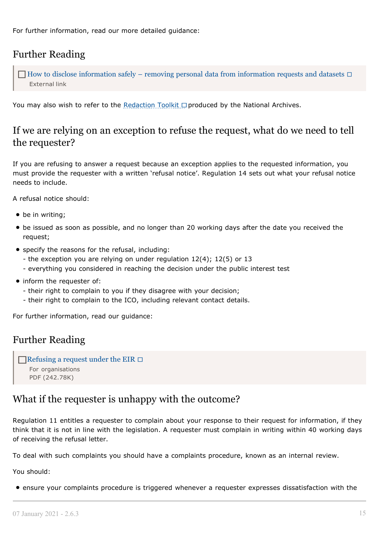For further information, read our more detailed guidance:

# Further Reading

 $\Box$  How to disclose [information](https://ico.org.uk/media/for-organisations/documents/2021/2618998/how-to-disclose-information-safely-20201224.pdf) safely – removing personal data from information requests and datasets  $\Box$ [External](https://ico.org.uk/media/for-organisations/documents/2021/2618998/how-to-disclose-information-safely-20201224.pdf) link

You may also wish to refer to the [Redaction](http://www.nationalarchives.gov.uk/documents/information-management/redaction_toolkit.pdf) Toolkit  $\Box$  produced by the National Archives.

# If we are relying on an exception to refuse the request, what do we need to tell the requester?

If you are refusing to answer a request because an exception applies to the requested information, you must provide the requester with a written 'refusal notice'. Regulation 14 sets out what your refusal notice needs to include.

A refusal notice should:

- be in writing;
- be issued as soon as possible, and no longer than 20 working days after the date you received the request;
- specify the reasons for the refusal, including:
	- the exception you are relying on under regulation 12(4); 12(5) or 13
	- everything you considered in reaching the decision under the public interest test
- inform the requester of:
	- their right to complain to you if they disagree with your decision;
	- their right to complain to the ICO, including relevant contact details.

For further information, read our guidance:

# Further Reading

```
Refusing a request under the EIR \BoxFor organisations
   PDF (242.78K)
```
## What if the requester is unhappy with the outcome?

Regulation 11 entitles a requester to complain about your response to their request for information, if they think that it is not in line with the legislation. A requester must complain in writing within 40 working days of receiving the refusal letter.

To deal with such complaints you should have a complaints procedure, known as an internal review.

You should:

ensure your complaints procedure is triggered whenever a requester expresses dissatisfaction with the